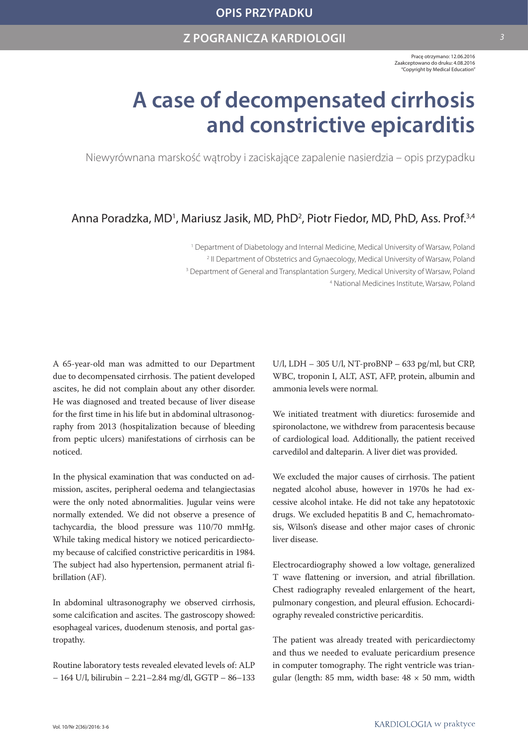Pracę otrzymano: 12.06.2016 Zaakceptowano do druku: 4.08.2016 "Copyright by Medical Education"

# **A case of decompensated cirrhosis and constrictive epicarditis**

Niewyrównana marskość wątroby i zaciskające zapalenie nasierdzia – opis przypadku

## Anna Poradzka, MD<sup>1</sup>, Mariusz Jasik, MD, PhD<sup>2</sup>, Piotr Fiedor, MD, PhD, Ass. Prof.<sup>3,4</sup>

<sup>1</sup> Department of Diabetology and Internal Medicine, Medical University of Warsaw, Poland <sup>2</sup> II Department of Obstetrics and Gynaecology, Medical University of Warsaw, Poland <sup>3</sup> Department of General and Transplantation Surgery, Medical University of Warsaw, Poland 4 National Medicines Institute, Warsaw, Poland

A 65-year-old man was admitted to our Department due to decompensated cirrhosis. The patient developed ascites, he did not complain about any other disorder. He was diagnosed and treated because of liver disease for the first time in his life but in abdominal ultrasonography from 2013 (hospitalization because of bleeding from peptic ulcers) manifestations of cirrhosis can be noticed.

In the physical examination that was conducted on admission, ascites, peripheral oedema and telangiectasias were the only noted abnormalities. Jugular veins were normally extended. We did not observe a presence of tachycardia, the blood pressure was 110/70 mmHg. While taking medical history we noticed pericardiectomy because of calcified constrictive pericarditis in 1984. The subject had also hypertension, permanent atrial fibrillation (AF).

In abdominal ultrasonography we observed cirrhosis, some calcification and ascites. The gastroscopy showed: esophageal varices, duodenum stenosis, and portal gastropathy.

Routine laboratory tests revealed elevated levels of: ALP – 164 U/l, bilirubin – 2.21–2.84 mg/dl, GGTP – 86–133 U/l, LDH – 305 U/l, NT-proBNP – 633 pg/ml, but CRP, WBC, troponin I, ALT, AST, AFP, protein, albumin and ammonia levels were normal.

We initiated treatment with diuretics: furosemide and spironolactone, we withdrew from paracentesis because of cardiological load. Additionally, the patient received carvedilol and dalteparin. A liver diet was provided.

We excluded the major causes of cirrhosis. The patient negated alcohol abuse, however in 1970s he had excessive alcohol intake. He did not take any hepatotoxic drugs. We excluded hepatitis B and C, hemachromatosis, Wilson's disease and other major cases of chronic liver disease.

Electrocardiography showed a low voltage, generalized T wave flattening or inversion, and atrial fibrillation. Chest radiography revealed enlargement of the heart, pulmonary congestion, and pleural effusion. Echocardiography revealed constrictive pericarditis.

The patient was already treated with pericardiectomy and thus we needed to evaluate pericardium presence in computer tomography. The right ventricle was triangular (length: 85 mm, width base: 48 × 50 mm, width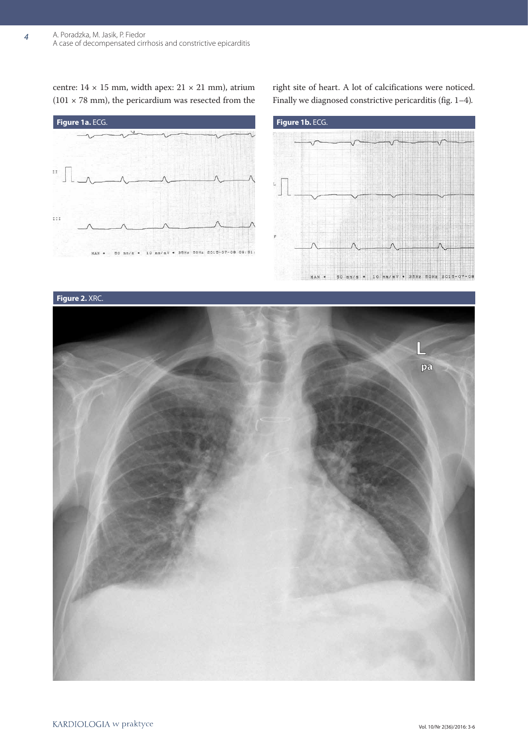centre:  $14 \times 15$  mm, width apex:  $21 \times 21$  mm), atrium (101  $\times$  78 mm), the pericardium was resected from the

**Figure 1a.** ECG. **Figure 1b.** ECG.  $\bar{\rm H}$  $t$   $t$   $t$ 50 mm/s = 10 mm/mV = 35Hz 50Hz 2015-07-08 09:51:

right site of heart. A lot of calcifications were noticed. Finally we diagnosed constrictive pericarditis (fig. 1–4)*.*



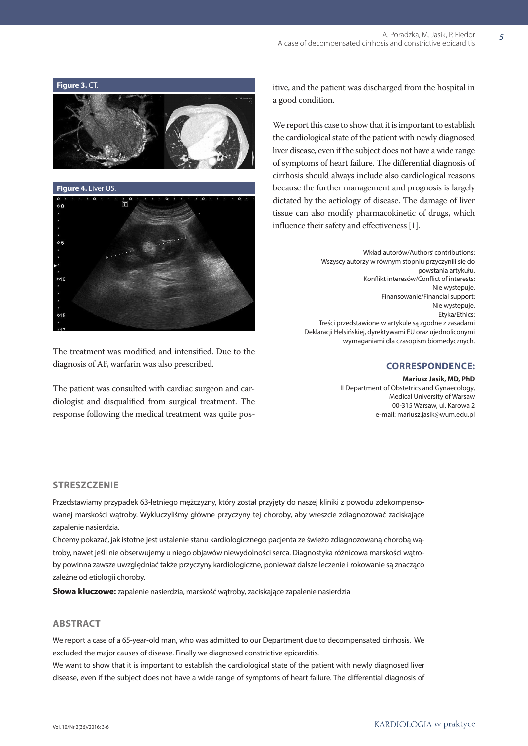

 $\circ$  5  $010$  $015$ 

The treatment was modified and intensified. Due to the diagnosis of AF, warfarin was also prescribed.

The patient was consulted with cardiac surgeon and cardiologist and disqualified from surgical treatment. The response following the medical treatment was quite positive, and the patient was discharged from the hospital in a good condition.

We report this case to show that it is important to establish the cardiological state of the patient with newly diagnosed liver disease, even if the subject does not have a wide range of symptoms of heart failure. The differential diagnosis of cirrhosis should always include also cardiological reasons because the further management and prognosis is largely dictated by the aetiology of disease. The damage of liver tissue can also modify pharmacokinetic of drugs, which influence their safety and effectiveness [1].

> Wkład autorów/Authors' contributions: Wszyscy autorzy w równym stopniu przyczynili się do powstania artykułu. Konflikt interesów/Conflict of interests: Nie występuję. Finansowanie/Financial support: Nie występuje. Etyka/Ethics: Treści przedstawione w artykule są zgodne z zasadami Deklaracji Helsińskiej, dyrektywami EU oraz ujednoliconymi wymaganiami dla czasopism biomedycznych.

#### **correspondence:**

**Mariusz Jasik, MD, PhD** II Department of Obstetrics and Gynaecology, Medical University of Warsaw 00-315 Warsaw, ul. Karowa 2 e-mail: mariusz.jasik@wum.edu.pl

#### **Streszczenie**

Przedstawiamy przypadek 63-letniego mężczyzny, który został przyjęty do naszej kliniki z powodu zdekompensowanej marskości wątroby. Wykluczyliśmy główne przyczyny tej choroby, aby wreszcie zdiagnozować zaciskające zapalenie nasierdzia.

Chcemy pokazać, jak istotne jest ustalenie stanu kardiologicznego pacjenta ze świeżo zdiagnozowaną chorobą wątroby, nawet jeśli nie obserwujemy u niego objawów niewydolności serca. Diagnostyka różnicowa marskości wątroby powinna zawsze uwzględniać także przyczyny kardiologiczne, ponieważ dalsze leczenie i rokowanie są znacząco zależne od etiologii choroby.

**Słowa kluczowe:** zapalenie nasierdzia, marskość wątroby, zaciskające zapalenie nasierdzia

### **Abstract**

We report a case of a 65-year-old man, who was admitted to our Department due to decompensated cirrhosis. We excluded the major causes of disease. Finally we diagnosed constrictive epicarditis.

We want to show that it is important to establish the cardiological state of the patient with newly diagnosed liver disease, even if the subject does not have a wide range of symptoms of heart failure. The differential diagnosis of